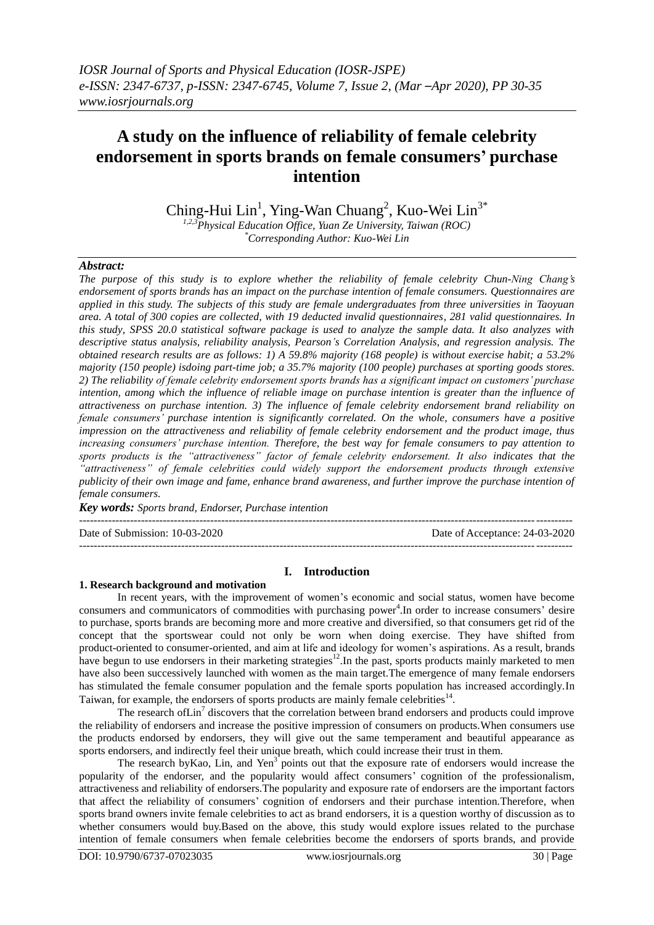# **A study on the influence of reliability of female celebrity endorsement in sports brands on female consumers' purchase intention**

Ching-Hui Lin<sup>1</sup>, Ying-Wan Chuang<sup>2</sup>, Kuo-Wei Lin<sup>3\*</sup>

*1,2,3Physical Education Office, Yuan Ze University, Taiwan (ROC) \*Corresponding Author: Kuo-Wei Lin*

# *Abstract:*

*The purpose of this study is to explore whether the reliability of female celebrity Chun-Ning Chang's endorsement of sports brands has an impact on the purchase intention of female consumers. Questionnaires are applied in this study. The subjects of this study are female undergraduates from three universities in Taoyuan area. A total of 300 copies are collected, with 19 deducted invalid questionnaires, 281 valid questionnaires. In this study, SPSS 20.0 statistical software package is used to analyze the sample data. It also analyzes with descriptive status analysis, reliability analysis, Pearson's Correlation Analysis, and regression analysis. The obtained research results are as follows: 1) A 59.8% majority (168 people) is without exercise habit; a 53.2% majority (150 people) isdoing part-time job; a 35.7% majority (100 people) purchases at sporting goods stores. 2) The reliability of female celebrity endorsement sports brands has a significant impact on customers' purchase intention, among which the influence of reliable image on purchase intention is greater than the influence of attractiveness on purchase intention. 3) The influence of female celebrity endorsement brand reliability on female consumers' purchase intention is significantly correlated. On the whole, consumers have a positive impression on the attractiveness and reliability of female celebrity endorsement and the product image, thus increasing consumers' purchase intention. Therefore, the best way for female consumers to pay attention to sports products is the "attractiveness" factor of female celebrity endorsement. It also indicates that the "attractiveness" of female celebrities could widely support the endorsement products through extensive publicity of their own image and fame, enhance brand awareness, and further improve the purchase intention of female consumers.*

*Key words: Sports brand, Endorser, Purchase intention*

Date of Submission: 10-03-2020 Date of Acceptance: 24-03-2020

---------------------------------------------------------------------------------------------------------------------------------------

# **I. Introduction**

---------------------------------------------------------------------------------------------------------------------------------------

## **1. Research background and motivation**

In recent years, with the improvement of women's economic and social status, women have become consumers and communicators of commodities with purchasing power<sup>4</sup>. In order to increase consumers' desire to purchase, sports brands are becoming more and more creative and diversified, so that consumers get rid of the concept that the sportswear could not only be worn when doing exercise. They have shifted from product-oriented to consumer-oriented, and aim at life and ideology for women's aspirations. As a result, brands have begun to use endorsers in their marketing strategies $12$ . In the past, sports products mainly marketed to men have also been successively launched with women as the main target.The emergence of many female endorsers has stimulated the female consumer population and the female sports population has increased accordingly.In Taiwan, for example, the endorsers of sports products are mainly female celebrities $14$ .

The research of Lin<sup>7</sup> discovers that the correlation between brand endorsers and products could improve the reliability of endorsers and increase the positive impression of consumers on products.When consumers use the products endorsed by endorsers, they will give out the same temperament and beautiful appearance as sports endorsers, and indirectly feel their unique breath, which could increase their trust in them.

The research by Kao, Lin, and Yen<sup>3</sup> points out that the exposure rate of endorsers would increase the popularity of the endorser, and the popularity would affect consumers' cognition of the professionalism, attractiveness and reliability of endorsers.The popularity and exposure rate of endorsers are the important factors that affect the reliability of consumers' cognition of endorsers and their purchase intention.Therefore, when sports brand owners invite female celebrities to act as brand endorsers, it is a question worthy of discussion as to whether consumers would buy.Based on the above, this study would explore issues related to the purchase intention of female consumers when female celebrities become the endorsers of sports brands, and provide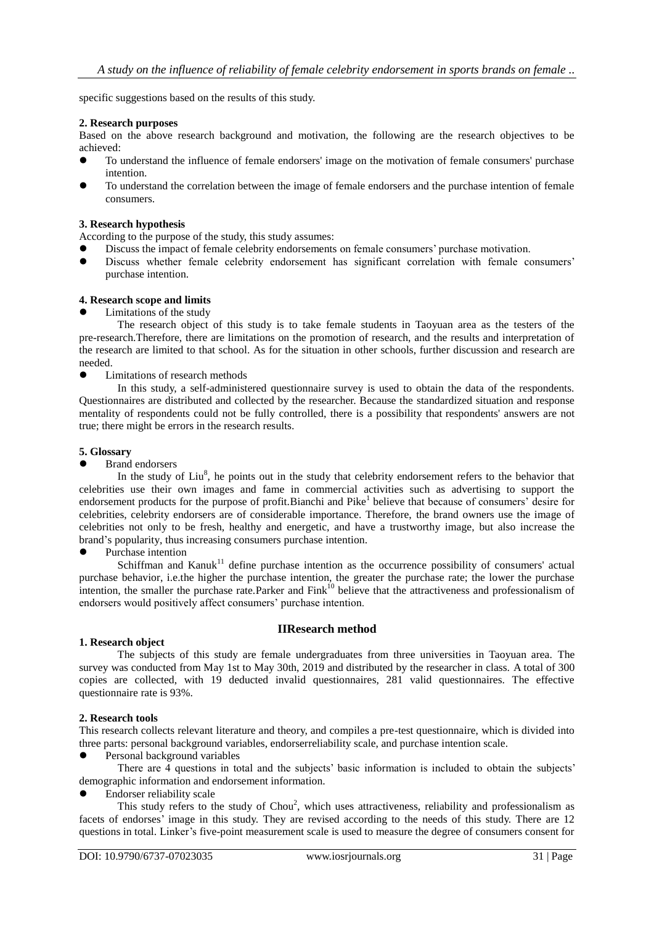specific suggestions based on the results of this study.

## **2. Research purposes**

Based on the above research background and motivation, the following are the research objectives to be achieved:

- To understand the influence of female endorsers' image on the motivation of female consumers' purchase intention.
- To understand the correlation between the image of female endorsers and the purchase intention of female consumers.

#### **3. Research hypothesis**

According to the purpose of the study, this study assumes:

- Discuss the impact of female celebrity endorsements on female consumers' purchase motivation.
- Discuss whether female celebrity endorsement has significant correlation with female consumers' purchase intention.

#### **4. Research scope and limits**

Limitations of the study

The research object of this study is to take female students in Taoyuan area as the testers of the pre-research.Therefore, there are limitations on the promotion of research, and the results and interpretation of the research are limited to that school. As for the situation in other schools, further discussion and research are needed.

Limitations of research methods

In this study, a self-administered questionnaire survey is used to obtain the data of the respondents. Questionnaires are distributed and collected by the researcher. Because the standardized situation and response mentality of respondents could not be fully controlled, there is a possibility that respondents' answers are not true; there might be errors in the research results.

#### **5. Glossary**

Brand endorsers

In the study of  $\text{Liu}^8$ , he points out in the study that celebrity endorsement refers to the behavior that celebrities use their own images and fame in commercial activities such as advertising to support the endorsement products for the purpose of profit. Bianchi and Pike<sup>1</sup> believe that because of consumers' desire for celebrities, celebrity endorsers are of considerable importance. Therefore, the brand owners use the image of celebrities not only to be fresh, healthy and energetic, and have a trustworthy image, but also increase the brand's popularity, thus increasing consumers purchase intention.

Purchase intention

 $Schiffman$  and  $Kanuk$ <sup>11</sup> define purchase intention as the occurrence possibility of consumers' actual purchase behavior, i.e.the higher the purchase intention, the greater the purchase rate; the lower the purchase intention, the smaller the purchase rate.Parker and  $\text{Fink}^{10}$  believe that the attractiveness and professionalism of endorsers would positively affect consumers' purchase intention.

## **IIResearch method**

# **1. Research object**

The subjects of this study are female undergraduates from three universities in Taoyuan area. The survey was conducted from May 1st to May 30th, 2019 and distributed by the researcher in class. A total of 300 copies are collected, with 19 deducted invalid questionnaires, 281 valid questionnaires. The effective questionnaire rate is 93%.

## **2. Research tools**

This research collects relevant literature and theory, and compiles a pre-test questionnaire, which is divided into three parts: personal background variables, endorserreliability scale, and purchase intention scale.

Personal background variables

There are 4 questions in total and the subjects' basic information is included to obtain the subjects' demographic information and endorsement information.

Endorser reliability scale

This study refers to the study of Chou<sup>2</sup>, which uses attractiveness, reliability and professionalism as facets of endorses' image in this study. They are revised according to the needs of this study. There are 12 questions in total. Linker's five-point measurement scale is used to measure the degree of consumers consent for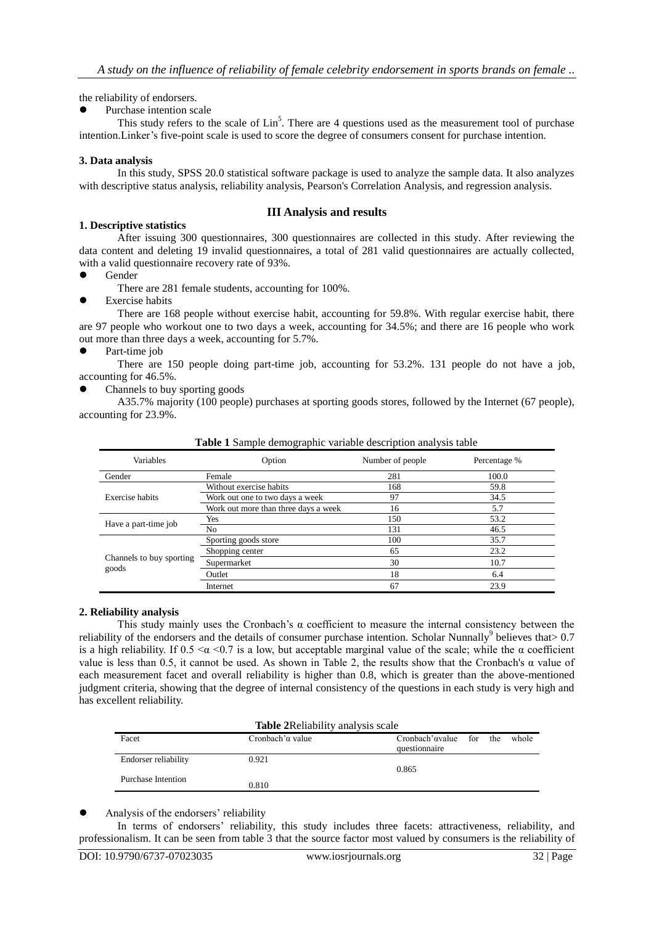the reliability of endorsers.

Purchase intention scale

This study refers to the scale of  $\text{Lin}^5$ . There are 4 questions used as the measurement tool of purchase intention.Linker's five-point scale is used to score the degree of consumers consent for purchase intention.

# **3. Data analysis**

In this study, SPSS 20.0 statistical software package is used to analyze the sample data. It also analyzes with descriptive status analysis, reliability analysis, Pearson's Correlation Analysis, and regression analysis.

# **III Analysis and results**

# **1. Descriptive statistics**

After issuing 300 questionnaires, 300 questionnaires are collected in this study. After reviewing the data content and deleting 19 invalid questionnaires, a total of 281 valid questionnaires are actually collected, with a valid questionnaire recovery rate of 93%.

- Gender
	- There are 281 female students, accounting for 100%.
- Exercise habits

There are 168 people without exercise habit, accounting for 59.8%. With regular exercise habit, there are 97 people who workout one to two days a week, accounting for 34.5%; and there are 16 people who work out more than three days a week, accounting for 5.7%.

• Part-time job

There are 150 people doing part-time job, accounting for 53.2%. 131 people do not have a job, accounting for 46.5%.

Channels to buy sporting goods

A35.7% majority (100 people) purchases at sporting goods stores, followed by the Internet (67 people), accounting for 23.9%.

| Variables                | Option                               | Number of people | Percentage % |  |
|--------------------------|--------------------------------------|------------------|--------------|--|
| Gender                   | Female                               | 281              | 100.0        |  |
|                          | Without exercise habits              | 168              | 59.8         |  |
| Exercise habits          | Work out one to two days a week      | 97               | 34.5         |  |
|                          | Work out more than three days a week | 16               | 5.7          |  |
| Have a part-time job     | Yes                                  | 150              | 53.2         |  |
|                          | No.                                  | 131              | 46.5         |  |
|                          | Sporting goods store                 | 100              | 35.7         |  |
|                          | Shopping center                      | 65               | 23.2         |  |
| Channels to buy sporting | Supermarket                          | 30               | 10.7         |  |
| goods                    | Outlet                               | 18               | 6.4          |  |
|                          | Internet                             | 67               | 23.9         |  |

**Table 1** Sample demographic variable description analysis table

# **2. Reliability analysis**

This study mainly uses the Cronbach's  $\alpha$  coefficient to measure the internal consistency between the reliability of the endorsers and the details of consumer purchase intention. Scholar Nunnally<sup>9</sup> believes that  $> 0.7$ is a high reliability. If  $0.5 \le \alpha \le 0.7$  is a low, but acceptable marginal value of the scale; while the  $\alpha$  coefficient value is less than 0.5, it cannot be used. As shown in Table 2, the results show that the Cronbach's α value of each measurement facet and overall reliability is higher than 0.8, which is greater than the above-mentioned judgment criteria, showing that the degree of internal consistency of the questions in each study is very high and has excellent reliability.

| <b>Table 2 Reliability analysis scale</b> |                          |                                                   |  |  |       |
|-------------------------------------------|--------------------------|---------------------------------------------------|--|--|-------|
| Facet                                     | Cronbach' $\alpha$ value | Cronbach' $\alpha$ value for the<br>questionnaire |  |  | whole |
| <b>Endorser reliability</b>               | 0.921                    | 0.865                                             |  |  |       |
| Purchase Intention                        | 0.810                    |                                                   |  |  |       |

Analysis of the endorsers' reliability

In terms of endorsers' reliability, this study includes three facets: attractiveness, reliability, and professionalism. It can be seen from table 3 that the source factor most valued by consumers is the reliability of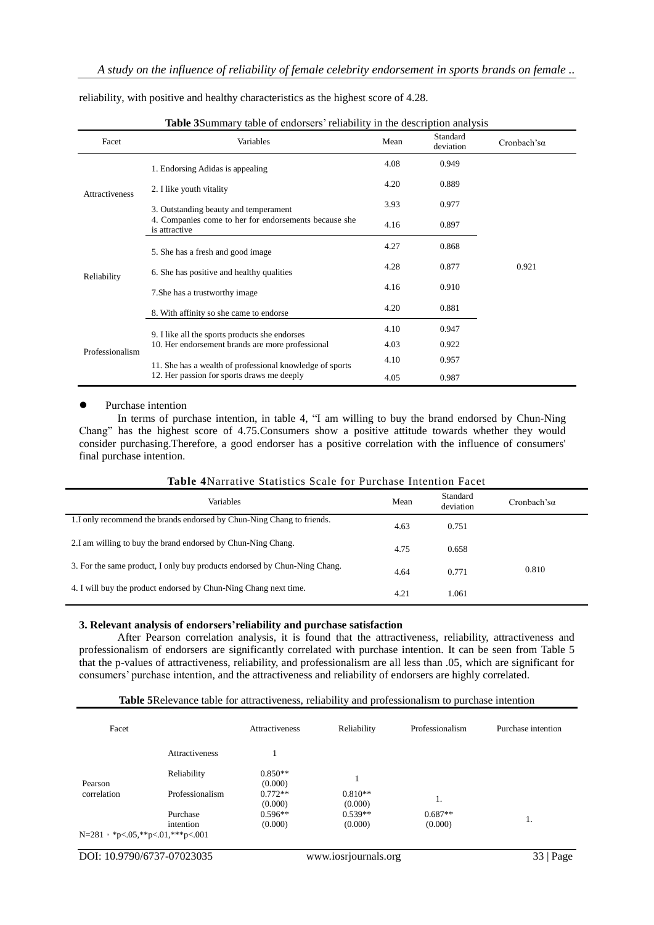| <b>Table 3Summary table of endorsers' reliability in the description analysis</b> |                                                                        |      |                       |                     |  |
|-----------------------------------------------------------------------------------|------------------------------------------------------------------------|------|-----------------------|---------------------|--|
| Facet                                                                             | Variables                                                              | Mean | Standard<br>deviation | Cronbach's $\alpha$ |  |
| <b>Attractiveness</b>                                                             | 1. Endorsing Adidas is appealing                                       | 4.08 | 0.949                 |                     |  |
|                                                                                   | 2. I like youth vitality                                               | 4.20 | 0.889                 |                     |  |
|                                                                                   | 3. Outstanding beauty and temperament                                  | 3.93 | 0.977                 |                     |  |
|                                                                                   | 4. Companies come to her for endorsements because she<br>is attractive | 4.16 | 0.897                 |                     |  |
|                                                                                   | 5. She has a fresh and good image                                      | 4.27 | 0.868                 |                     |  |
| Reliability                                                                       | 6. She has positive and healthy qualities                              | 4.28 | 0.877                 | 0.921               |  |
|                                                                                   | 7. She has a trustworthy image                                         | 4.16 | 0.910                 |                     |  |
|                                                                                   | 8. With affinity so she came to endorse                                | 4.20 | 0.881                 |                     |  |
|                                                                                   | 9. I like all the sports products she endorses                         | 4.10 | 0.947                 |                     |  |
| Professionalism                                                                   | 10. Her endorsement brands are more professional                       | 4.03 | 0.922                 |                     |  |
|                                                                                   | 11. She has a wealth of professional knowledge of sports               | 4.10 | 0.957                 |                     |  |
|                                                                                   | 12. Her passion for sports draws me deeply                             | 4.05 | 0.987                 |                     |  |

reliability, with positive and healthy characteristics as the highest score of 4.28.

#### • Purchase intention

In terms of purchase intention, in table 4, "I am willing to buy the brand endorsed by Chun-Ning Chang" has the highest score of 4.75.Consumers show a positive attitude towards whether they would consider purchasing.Therefore, a good endorser has a positive correlation with the influence of consumers' final purchase intention.

| <b>Variables</b>                                                          | Mean | Standard<br>deviation | Cronbach's $\alpha$ |
|---------------------------------------------------------------------------|------|-----------------------|---------------------|
| 1. I only recommend the brands endorsed by Chun-Ning Chang to friends.    | 4.63 | 0.751                 |                     |
| 2.I am willing to buy the brand endorsed by Chun-Ning Chang.              | 4.75 | 0.658                 |                     |
| 3. For the same product, I only buy products endorsed by Chun-Ning Chang. | 4.64 | 0.771                 | 0.810               |
| 4. I will buy the product endorsed by Chun-Ning Chang next time.          | 4.21 | 1.061                 |                     |

**Table 4**Narrative Statistics Scale for Purchase Intention Facet

## **3. Relevant analysis of endorsers'reliability and purchase satisfaction**

After Pearson correlation analysis, it is found that the attractiveness, reliability, attractiveness and professionalism of endorsers are significantly correlated with purchase intention. It can be seen from Table 5 that the p-values of attractiveness, reliability, and professionalism are all less than .05, which are significant for consumers' purchase intention, and the attractiveness and reliability of endorsers are highly correlated.

| Facet                              |                                | <b>Attractiveness</b>             | Reliability                     | Professionalism      | Purchase intention |
|------------------------------------|--------------------------------|-----------------------------------|---------------------------------|----------------------|--------------------|
|                                    | Attractiveness                 |                                   |                                 |                      |                    |
| Pearson<br>correlation             | Reliability<br>Professionalism | $0.850**$<br>(0.000)<br>$0.772**$ | $0.810**$                       | 1.                   |                    |
|                                    | Purchase<br>intention          | (0.000)<br>$0.596**$<br>(0.000)   | (0.000)<br>$0.539**$<br>(0.000) | $0.687**$<br>(0.000) |                    |
| $N=281$ , *p<.05,**p<.01,***p<.001 |                                |                                   |                                 |                      |                    |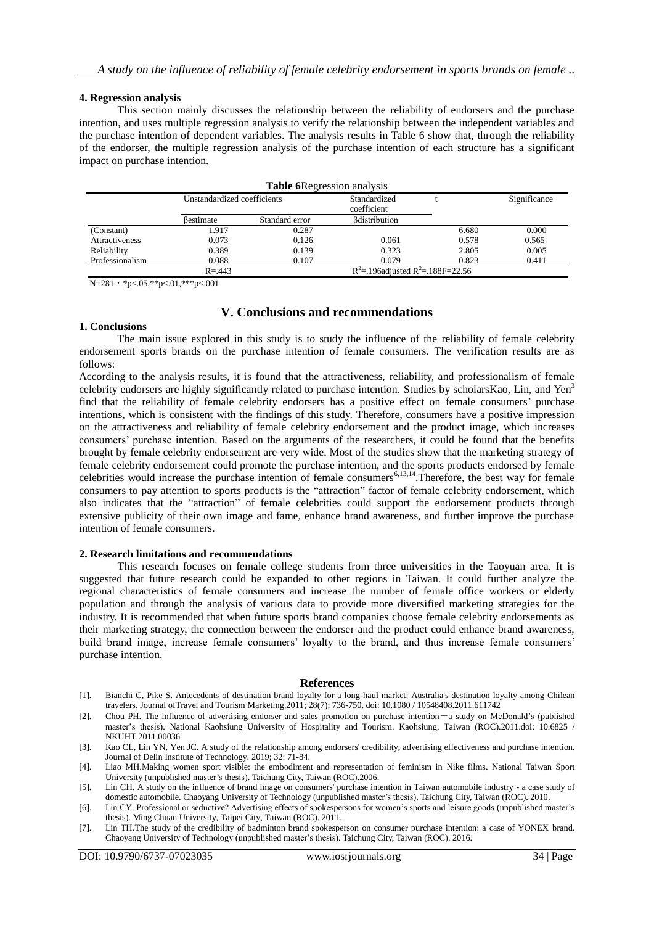## **4. Regression analysis**

This section mainly discusses the relationship between the reliability of endorsers and the purchase intention, and uses multiple regression analysis to verify the relationship between the independent variables and the purchase intention of dependent variables. The analysis results in Table 6 show that, through the reliability of the endorser, the multiple regression analysis of the purchase intention of each structure has a significant impact on purchase intention.

|                                                       |                             | <b>Table 6</b> Regression analysis |                             |       |              |
|-------------------------------------------------------|-----------------------------|------------------------------------|-----------------------------|-------|--------------|
|                                                       | Unstandardized coefficients |                                    | Standardized<br>coefficient |       | Significance |
|                                                       | Bestimate                   | Standard error                     | <b>B</b> distribution       |       |              |
| (Constant)                                            | 1.917                       | 0.287                              |                             | 6.680 | 0.000        |
| <b>Attractiveness</b>                                 | 0.073                       | 0.126                              | 0.061                       | 0.578 | 0.565        |
| Reliability                                           | 0.389                       | 0.139                              | 0.323                       | 2.805 | 0.005        |
| Professionalism                                       | 0.088                       | 0.107                              | 0.079                       | 0.823 | 0.411        |
| $R^2$ = 196adjusted $R^2$ = 188F=22.56<br>$R = 0.443$ |                             |                                    |                             |       |              |

 $N=281, *p<.05, **p<.01, **p<.001$ 

# **V. Conclusions and recommendations**

#### **1. Conclusions**

The main issue explored in this study is to study the influence of the reliability of female celebrity endorsement sports brands on the purchase intention of female consumers. The verification results are as follows:

According to the analysis results, it is found that the attractiveness, reliability, and professionalism of female celebrity endorsers are highly significantly related to purchase intention. Studies by scholarsKao, Lin, and Yen<sup>3</sup> find that the reliability of female celebrity endorsers has a positive effect on female consumers' purchase intentions, which is consistent with the findings of this study. Therefore, consumers have a positive impression on the attractiveness and reliability of female celebrity endorsement and the product image, which increases consumers' purchase intention. Based on the arguments of the researchers, it could be found that the benefits brought by female celebrity endorsement are very wide. Most of the studies show that the marketing strategy of female celebrity endorsement could promote the purchase intention, and the sports products endorsed by female celebrities would increase the purchase intention of female consumers<sup>6,13,14</sup>. Therefore, the best way for female consumers to pay attention to sports products is the "attraction" factor of female celebrity endorsement, which also indicates that the "attraction" of female celebrities could support the endorsement products through extensive publicity of their own image and fame, enhance brand awareness, and further improve the purchase intention of female consumers.

#### **2. Research limitations and recommendations**

This research focuses on female college students from three universities in the Taoyuan area. It is suggested that future research could be expanded to other regions in Taiwan. It could further analyze the regional characteristics of female consumers and increase the number of female office workers or elderly population and through the analysis of various data to provide more diversified marketing strategies for the industry. It is recommended that when future sports brand companies choose female celebrity endorsements as their marketing strategy, the connection between the endorser and the product could enhance brand awareness, build brand image, increase female consumers' loyalty to the brand, and thus increase female consumers' purchase intention.

#### **References**

- [1]. Bianchi C, Pike S. Antecedents of destination brand loyalty for a long-haul market: Australia's destination loyalty among Chilean travelers. Journal ofTravel and Tourism Marketing.2011; 28(7): 736-750. doi: 10.1080 / 10548408.2011.611742
- [2]. Chou PH. The influence of advertising endorser and sales promotion on purchase intention-a study on McDonald's (published master's thesis). National Kaohsiung University of Hospitality and Tourism. Kaohsiung, Taiwan (ROC).2011.doi: 10.6825 / NKUHT.2011.00036
- [3]. Kao CL, Lin YN, Yen JC. A study of the relationship among endorsers' credibility, advertising effectiveness and purchase intention. Journal of Delin Institute of Technology. 2019; 32: 71-84.
- [4]. Liao MH.Making women sport visible: the embodiment and representation of feminism in Nike films. National Taiwan Sport University (unpublished master's thesis). Taichung City, Taiwan (ROC).2006.
- [5]. Lin CH. A study on the influence of brand image on consumers' purchase intention in Taiwan automobile industry a case study of domestic automobile. Chaoyang University of Technology (unpublished master's thesis). Taichung City, Taiwan (ROC). 2010.
- [6]. Lin CY. Professional or seductive? Advertising effects of spokespersons for women's sports and leisure goods (unpublished master's thesis). Ming Chuan University, Taipei City, Taiwan (ROC). 2011.
- [7]. Lin TH.The study of the credibility of badminton brand spokesperson on consumer purchase intention: a case of YONEX brand. Chaoyang University of Technology (unpublished master's thesis). Taichung City, Taiwan (ROC). 2016.